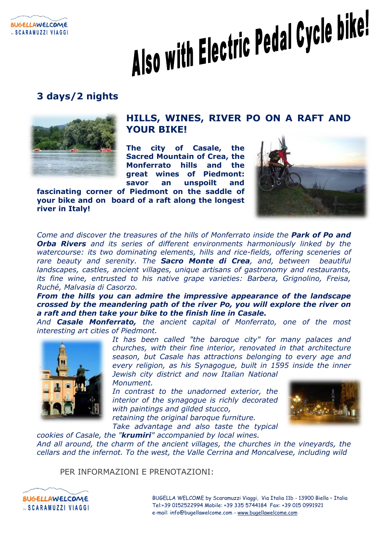

# Also with Electric Pedal Cycle bike!

# **3 days/2 nights**



## **HILLS, WINES, RIVER PO ON A RAFT AND YOUR BIKE!**

**The city of Casale, the Sacred Mountain of Crea, the Monferrato hills and the great wines of Piedmont: savor an unspoilt and** 

**fascinating corner of Piedmont on the saddle of your bike and on board of a raft along the longest river in Italy!**



*Come and discover the treasures of the hills of Monferrato inside the Park of Po and Orba Rivers and its series of different environments harmoniously linked by the watercourse: its two dominating elements, hills and rice-fields, offering sceneries of rare beauty and serenity. The Sacro Monte di Crea, and, between beautiful landscapes, castles, ancient villages, unique artisans of gastronomy and restaurants, its fine wine, entrusted to his native grape varieties: Barbera, Grignolino, Freisa, Ruché, Malvasia di Casorzo.*

*From the hills you can admire the impressive appearance of the landscape crossed by the meandering path of the river Po, you will explore the river on a raft and then take your bike to the finish line in Casale.*

*And Casale Monferrato, the ancient capital of Monferrato, one of the most interesting art cities of Piedmont.*



*It has been called "the baroque city" for many palaces and churches, with their fine interior, renovated in that architecture season, but Casale has attractions belonging to every age and every religion, as his Synagogue, built in 1595 inside the inner Jewish city district and now Italian National* 

*Monument.*

*In contrast to the unadorned exterior, the interior of the synagogue is richly decorated with paintings and gilded stucco, retaining the original baroque furniture.*



*Take advantage and also taste the typical* 

*cookies of Casale, the "krumiri" accompanied by local wines. And all around, the charm of the ancient villages, the churches in the vineyards, the cellars and the infernot. To the west, the Valle Cerrina and Moncalvese, including wild* 

PER INFORMAZIONI E PRENOTAZIONI:

BUGELLA WELCOME by Scaramuzzi Viaggi, Via Italia 11b - 13900 Biella – Italia Tel:+39 0152522994 Mobile: +39 335 5744184 Fax: +39 015 0991921 e-mail: info@bugellawelcome.com - [www.bugellawelcome.com](http://www.bugellawelcome.com/)

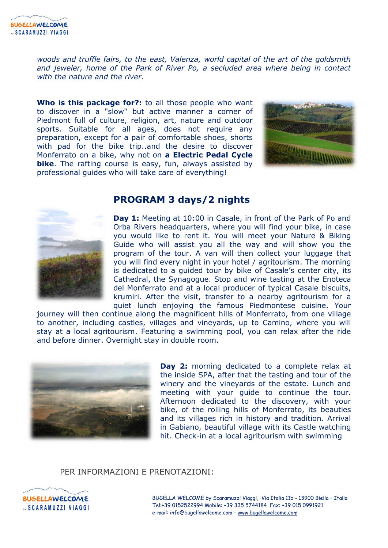*woods and truffle fairs, to the east, Valenza, world capital of the art of the goldsmith and jeweler, home of the Park of River Po, a secluded area where being in contact with the nature and the river.*

**Who is this package for?:** to all those people who want to discover in a "slow" but active manner a corner of Piedmont full of culture, religion, art, nature and outdoor sports. Suitable for all ages, does not require any preparation, except for a pair of comfortable shoes, shorts with pad for the bike trip..and the desire to discover Monferrato on a bike, why not on **a Electric Pedal Cycle bike**. The rafting course is easy, fun, always assisted by professional guides who will take care of everything!





## **PROGRAM 3 days/2 nights**

**Day 1:** Meeting at 10:00 in Casale, in front of the Park of Po and Orba Rivers headquarters, where you will find your bike, in case you would like to rent it. You will meet your Nature & Biking Guide who will assist you all the way and will show you the program of the tour. A van will then collect your luggage that you will find every night in your hotel / agritourism. The morning is dedicated to a guided tour by bike of Casale's center city, its Cathedral, the Synagogue. Stop and wine tasting at the Enoteca del Monferrato and at a local producer of typical Casale biscuits, krumiri. After the visit, transfer to a nearby agritourism for a quiet lunch enjoying the famous Piedmontese cuisine. Your

journey will then continue along the magnificent hills of Monferrato, from one village to another, including castles, villages and vineyards, up to Camino, where you will stay at a local agritourism. Featuring a swimming pool, you can relax after the ride and before dinner. Overnight stay in double room.



Day 2: morning dedicated to a complete relax at the inside SPA, after that the tasting and tour of the winery and the vineyards of the estate. Lunch and meeting with your guide to continue the tour. Afternoon dedicated to the discovery, with your bike, of the rolling hills of Monferrato, its beauties and its villages rich in history and tradition. Arrival in Gabiano, beautiful village with its Castle watching hit. Check-in at a local agritourism with swimming

### PER INFORMAZIONI E PRENOTAZIONI:



BUGELLA WELCOME by Scaramuzzi Viaggi, Via Italia 11b - 13900 Biella – Italia Tel:+39 0152522994 Mobile: +39 335 5744184 Fax: +39 015 0991921 e-mail: info@bugellawelcome.com - [www.bugellawelcome.com](http://www.bugellawelcome.com/)